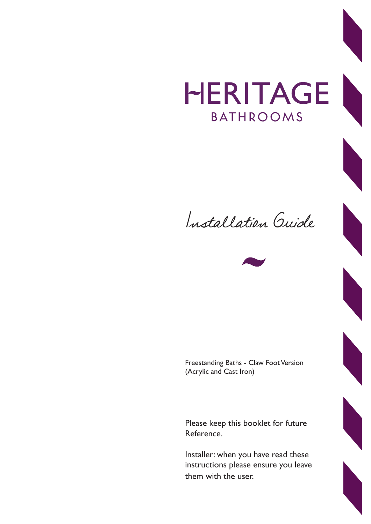## HERITAGE **BATHROOMS**

Installation Guide



Freestanding Baths - Claw Foot Version (Acrylic and Cast Iron)

Please keep this booklet for future Reference.

Installer: when you have read these instructions please ensure you leave them with the user.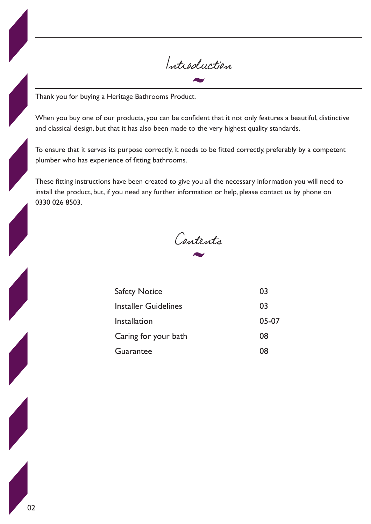Introduction

Thank you for buying a Heritage Bathrooms Product.

When you buy one of our products, you can be confident that it not only features a beautiful, distinctive and classical design, but that it has also been made to the very highest quality standards.

To ensure that it serves its purpose correctly, it needs to be fitted correctly, preferably by a competent plumber who has experience of fitting bathrooms.

These fitting instructions have been created to give you all the necessary information you will need to install the product, but, if you need any further information or help, please contact us by phone on 0330 026 8503.



| 03    |
|-------|
| 03    |
| 05-07 |
| 08    |
| 08    |
|       |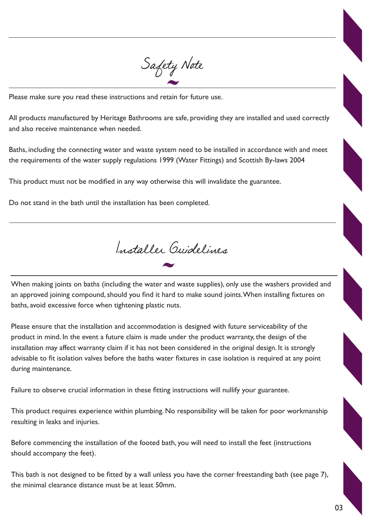

Please make sure you read these instructions and retain for future use.

All products manufactured by Heritage Bathrooms are safe, providing they are installed and used correctly and also receive maintenance when needed.

Baths, including the connecting water and waste system need to be installed in accordance with and meet the requirements of the water supply regulations 1999 (Water Fittings) and Scottish By-laws 2004

This product must not be modified in any way otherwise this will invalidate the guarantee.

Do not stand in the bath until the installation has been completed.

Installer Guidelines

When making joints on baths (including the water and waste supplies), only use the washers provided and an approved joining compound, should you find it hard to make sound joints. When installing fixtures on baths, avoid excessive force when tightening plastic nuts.

Please ensure that the installation and accommodation is designed with future serviceability of the product in mind. In the event a future claim is made under the product warranty, the design of the installation may affect warranty claim if it has not been considered in the original design. It is strongly advisable to fit isolation valves before the baths water fixtures in case isolation is required at any point during maintenance.

Failure to observe crucial information in these fitting instructions will nullify your guarantee.

This product requires experience within plumbing. No responsibility will be taken for poor workmanship resulting in leaks and injuries.

Before commencing the installation of the footed bath, you will need to install the feet (instructions should accompany the feet).

This bath is not designed to be fitted by a wall unless you have the corner freestanding bath (see page 7), the minimal clearance distance must be at least 50mm.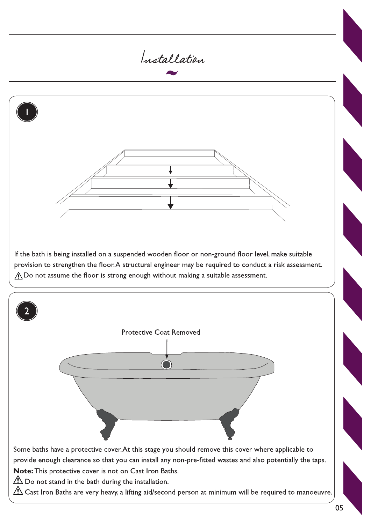



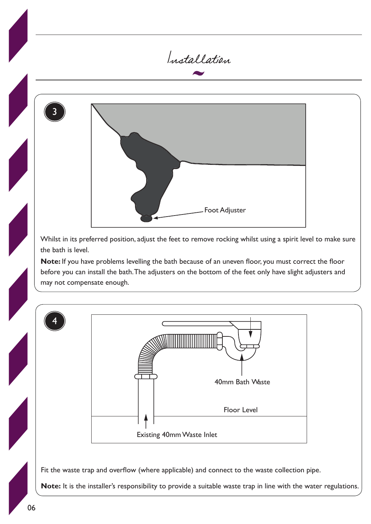



Whilst in its preferred position, adjust the feet to remove rocking whilst using a spirit level to make sure the bath is level.

**Note:** If you have problems levelling the bath because of an uneven floor, you must correct the floor before you can install the bath. The adjusters on the bottom of the feet only have slight adjusters and may not compensate enough.



Fit the waste trap and overflow (where applicable) and connect to the waste collection pipe.

**Note:** It is the installer's responsibility to provide a suitable waste trap in line with the water regulations.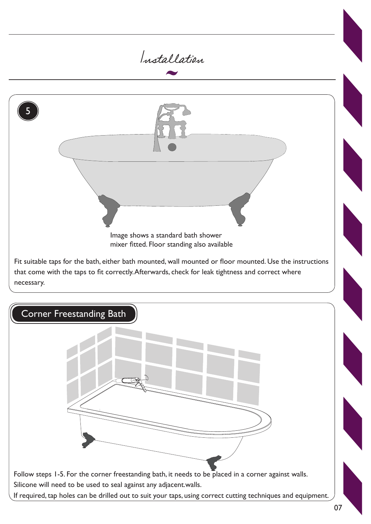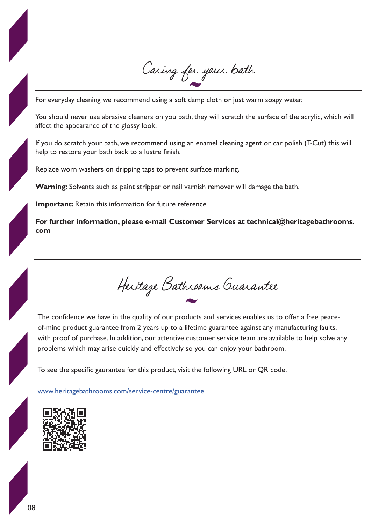Caring for your bath

For everyday cleaning we recommend using a soft damp cloth or just warm soapy water.

You should never use abrasive cleaners on you bath, they will scratch the surface of the acrylic, which will affect the appearance of the glossy look.

If you do scratch your bath, we recommend using an enamel cleaning agent or car polish (T-Cut) this will help to restore your bath back to a lustre finish.

Replace worn washers on dripping taps to prevent surface marking.

**Warning:** Solvents such as paint stripper or nail varnish remover will damage the bath.

**Important:** Retain this information for future reference

**For further information, please e-mail Customer Services at technical@heritagebathrooms. com**

Heritage Bathrooms Guarantee

The confidence we have in the quality of our products and services enables us to offer a free peaceof-mind product guarantee from 2 years up to a lifetime guarantee against any manufacturing faults, with proof of purchase. In addition, our attentive customer service team are available to help solve any problems which may arise quickly and effectively so you can enjoy your bathroom.

To see the specific gaurantee for this product, visit the following URL or QR code.

www.heritagebathrooms.com/service-centre/guarantee